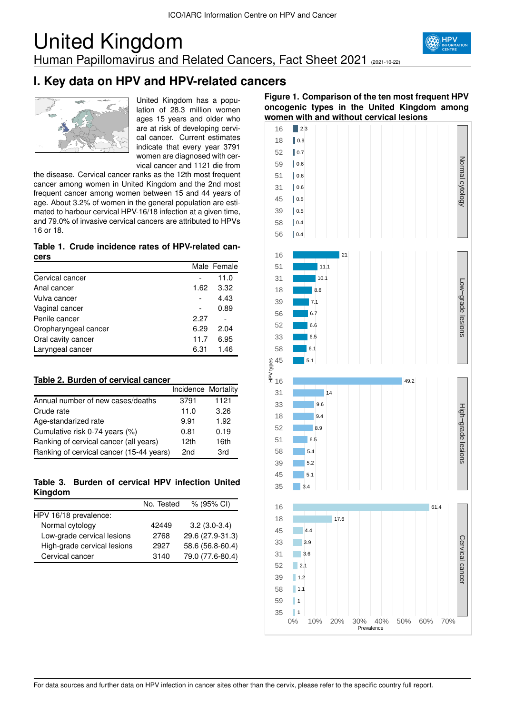# United Kingdom Human Papillomavirus and Related Cancers, Fact Sheet 2021 (2021-10-22)



# **I. Key data on HPV and HPV-related cancers**



United Kingdom has a population of 28.3 million women ages 15 years and older who are at risk of developing cervical cancer. Current estimates indicate that every year 3791 women are diagnosed with cervical cancer and 1121 die from

the disease. Cervical cancer ranks as the 12th most frequent cancer among women in United Kingdom and the 2nd most frequent cancer among women between 15 and 44 years of age. About 3.2% of women in the general population are estimated to harbour cervical HPV-16/18 infection at a given time. and 79.0% of invasive cervical cancers are attributed to HPVs 16 or 18.

#### **Table 1. Crude incidence rates of HPV-related cancers**

|                      |      | Male Female |
|----------------------|------|-------------|
| Cervical cancer      |      | 11.0        |
| Anal cancer          | 1.62 | 3.32        |
| Vulva cancer         |      | 4.43        |
| Vaginal cancer       |      | 0.89        |
| Penile cancer        | 2.27 |             |
| Oropharyngeal cancer | 6.29 | 2.04        |
| Oral cavity cancer   | 11.7 | 6.95        |
| Laryngeal cancer     | 6.31 | 1.46        |

## **Table 2. Burden of cervical cancer**

|                                          | Incidence Mortality |      |
|------------------------------------------|---------------------|------|
| Annual number of new cases/deaths        | 3791                | 1121 |
| Crude rate                               | 11.0                | 3.26 |
| Age-standarized rate                     | 9.91                | 1.92 |
| Cumulative risk 0-74 years (%)           | 0.81                | 0.19 |
| Ranking of cervical cancer (all years)   | 12 <sub>th</sub>    | 16th |
| Ranking of cervical cancer (15-44 years) | 2 <sub>nd</sub>     | 3rd  |

**Table 3. Burden of cervical HPV infection United Kingdom**

|                             | No. Tested | % (95% CI)       |
|-----------------------------|------------|------------------|
| HPV 16/18 prevalence:       |            |                  |
| Normal cytology             | 42449      | $3.2(3.0-3.4)$   |
| Low-grade cervical lesions  | 2768       | 29.6 (27.9-31.3) |
| High-grade cervical lesions | 2927       | 58.6 (56.8-60.4) |
| Cervical cancer             | 3140       | 79.0 (77.6-80.4) |